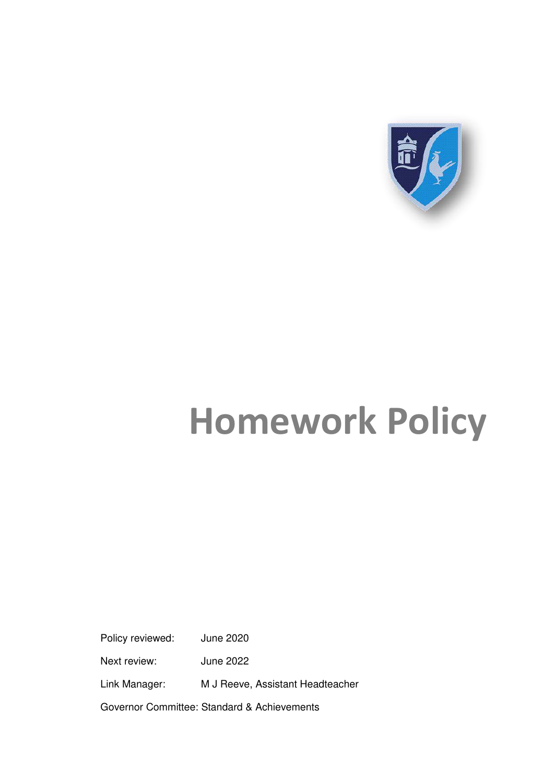

# **Homework Policy**

Policy reviewed: June 2020

Next review: June 2022

Link Manager: M J Reeve, Assistant Headteacher

Governor Committee: Standard & Achievements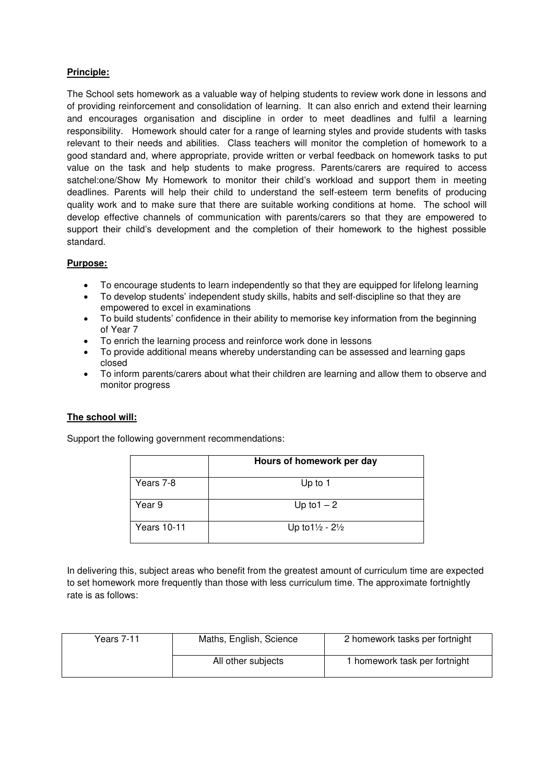## **Principle:**

The School sets homework as a valuable way of helping students to review work done in lessons and of providing reinforcement and consolidation of learning. It can also enrich and extend their learning and encourages organisation and discipline in order to meet deadlines and fulfil a learning responsibility. Homework should cater for a range of learning styles and provide students with tasks relevant to their needs and abilities. Class teachers will monitor the completion of homework to a good standard and, where appropriate, provide written or verbal feedback on homework tasks to put value on the task and help students to make progress. Parents/carers are required to access satchel:one/Show My Homework to monitor their child's workload and support them in meeting deadlines. Parents will help their child to understand the self-esteem term benefits of producing quality work and to make sure that there are suitable working conditions at home. The school will develop effective channels of communication with parents/carers so that they are empowered to support their child's development and the completion of their homework to the highest possible standard.

### **Purpose:**

- 
- To encourage students to learn independently so that they are equipped for lifelong learning<br>• To develop students' independent study skills, habits and self-discipline so that they are To develop students' independent study skills, habits and self-discipline so that they are empowered to excel in examinations
- To build students' confidence in their ability to memorise key information from the beginning of Year 7
- To enrich the learning process and reinforce work done in lessons
- To provide additional means whereby understanding can be assessed and learning gaps closed
- To inform parents/carers about what their children are learning and allow them to observe and monitor progress

#### **The school will:**

Support the following government recommendations:

|                    | Hours of homework per day             |  |
|--------------------|---------------------------------------|--|
| Years 7-8          | Up to 1                               |  |
| Year 9             | Up to $1 - 2$                         |  |
| <b>Years 10-11</b> | Up to $1\frac{1}{2}$ - $2\frac{1}{2}$ |  |

In delivering this, subject areas who benefit from the greatest amount of curriculum time are expected to set homework more frequently than those with less curriculum time. The approximate fortnightly rate is as follows:

| Years 7-11 | Maths, English, Science | 2 homework tasks per fortnight |
|------------|-------------------------|--------------------------------|
|            | All other subjects      | 1 homework task per fortnight  |